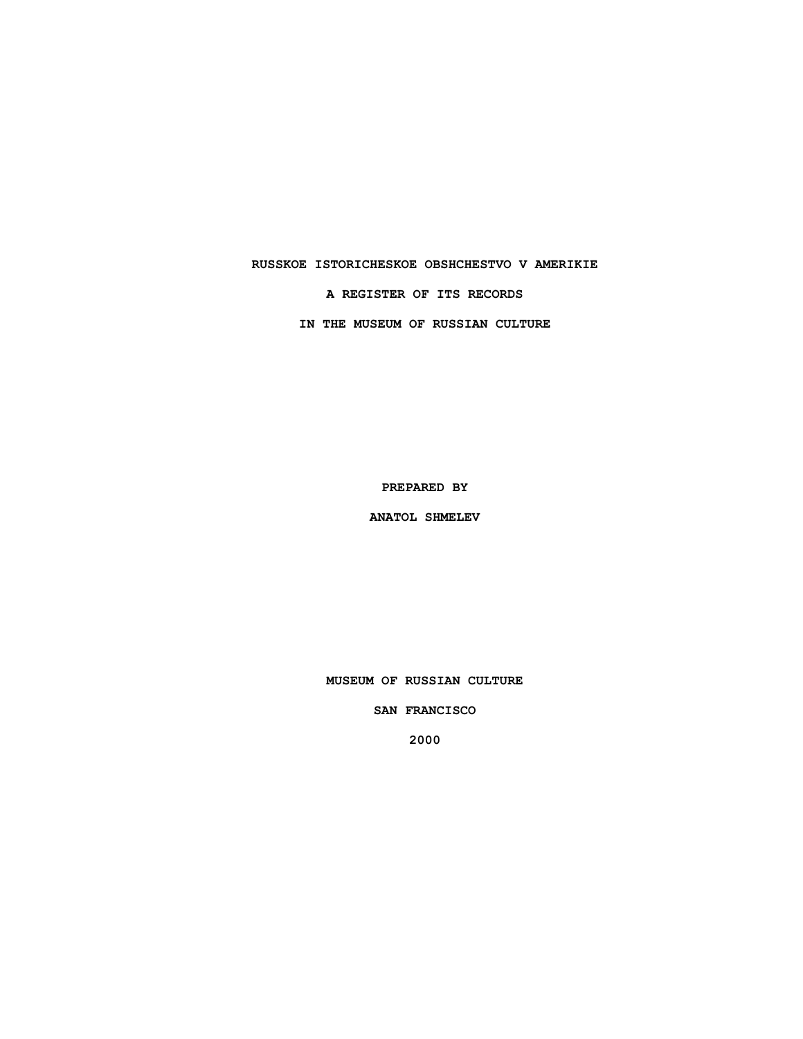### **RUSSKOE ISTORICHESKOE OBSHCHESTVO V AMERIKIE**

**A REGISTER OF ITS RECORDS**

**IN THE MUSEUM OF RUSSIAN CULTURE**

**PREPARED BY**

**ANATOL SHMELEV**

**MUSEUM OF RUSSIAN CULTURE**

**SAN FRANCISCO**

**2000**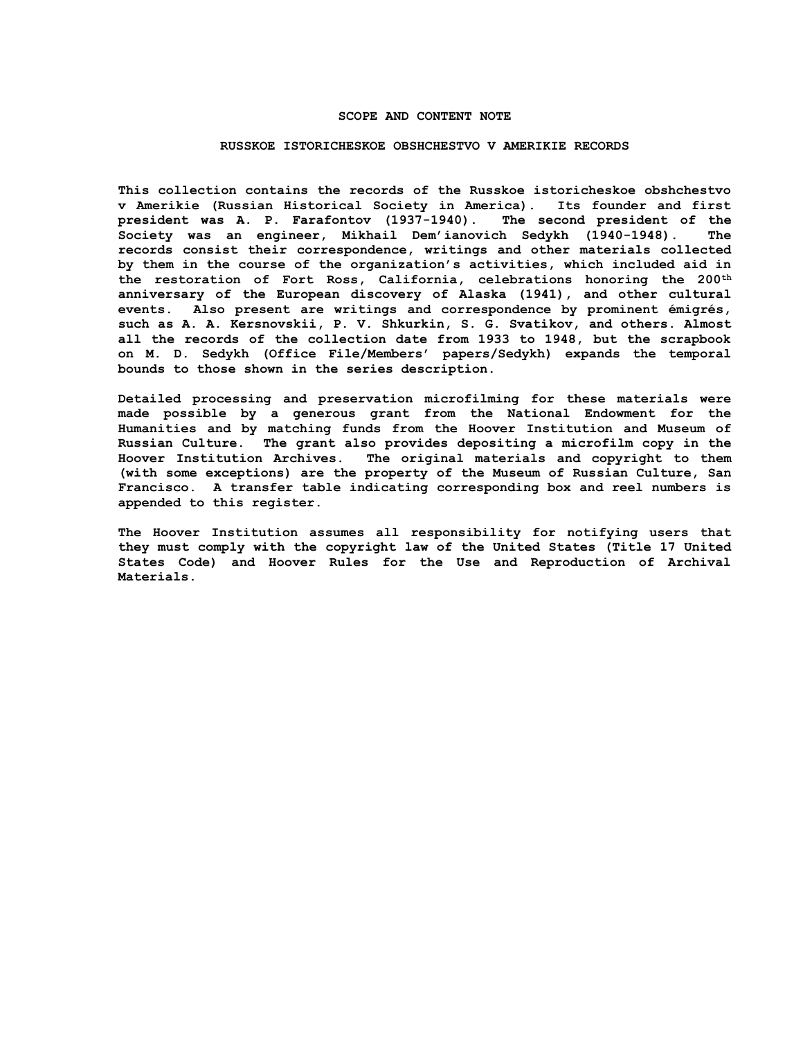### **SCOPE AND CONTENT NOTE**

#### **RUSSKOE ISTORICHESKOE OBSHCHESTVO V AMERIKIE RECORDS**

**This collection contains the records of the Russkoe istoricheskoe obshchestvo v Amerikie (Russian Historical Society in America). Its founder and first president was A. P. Farafontov (1937-1940). The second president of the Society was an engineer, Mikhail Dem'ianovich Sedykh (1940-1948). The records consist their correspondence, writings and other materials collected by them in the course of the organization's activities, which included aid in the restoration of Fort Ross, California, celebrations honoring the 200th anniversary of the European discovery of Alaska (1941), and other cultural events. Also present are writings and correspondence by prominent émigrés, such as A. A. Kersnovskii, P. V. Shkurkin, S. G. Svatikov, and others. Almost all the records of the collection date from 1933 to 1948, but the scrapbook on M. D. Sedykh (Office File/Members' papers/Sedykh) expands the temporal bounds to those shown in the series description.**

**Detailed processing and preservation microfilming for these materials were made possible by a generous grant from the National Endowment for the Humanities and by matching funds from the Hoover Institution and Museum of Russian Culture. The grant also provides depositing a microfilm copy in the Hoover Institution Archives. The original materials and copyright to them (with some exceptions) are the property of the Museum of Russian Culture, San Francisco. A transfer table indicating corresponding box and reel numbers is appended to this register.**

**The Hoover Institution assumes all responsibility for notifying users that they must comply with the copyright law of the United States (Title 17 United States Code) and Hoover Rules for the Use and Reproduction of Archival Materials.**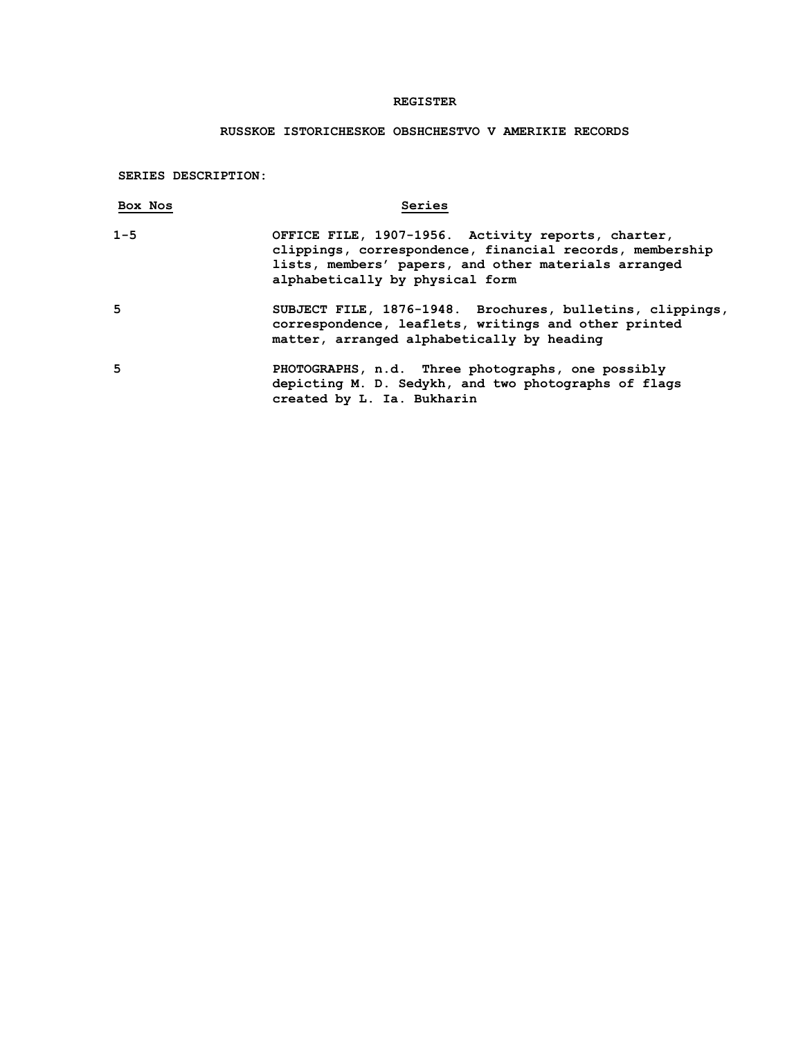# **REGISTER**

# **RUSSKOE ISTORICHESKOE OBSHCHESTVO V AMERIKIE RECORDS**

**SERIES DESCRIPTION:**

| Box Nos | Series                                                                                                                                                                                                    |
|---------|-----------------------------------------------------------------------------------------------------------------------------------------------------------------------------------------------------------|
| $1 - 5$ | OFFICE FILE, 1907-1956. Activity reports, charter,<br>clippings, correspondence, financial records, membership<br>lists, members' papers, and other materials arranged<br>alphabetically by physical form |
| 5       | SUBJECT FILE, 1876-1948. Brochures, bulletins, clippings,<br>correspondence, leaflets, writings and other printed<br>matter, arranged alphabetically by heading                                           |
| 5       | PHOTOGRAPHS, n.d. Three photographs, one possibly<br>depicting M. D. Sedykh, and two photographs of flags<br>created by L. Ia. Bukharin                                                                   |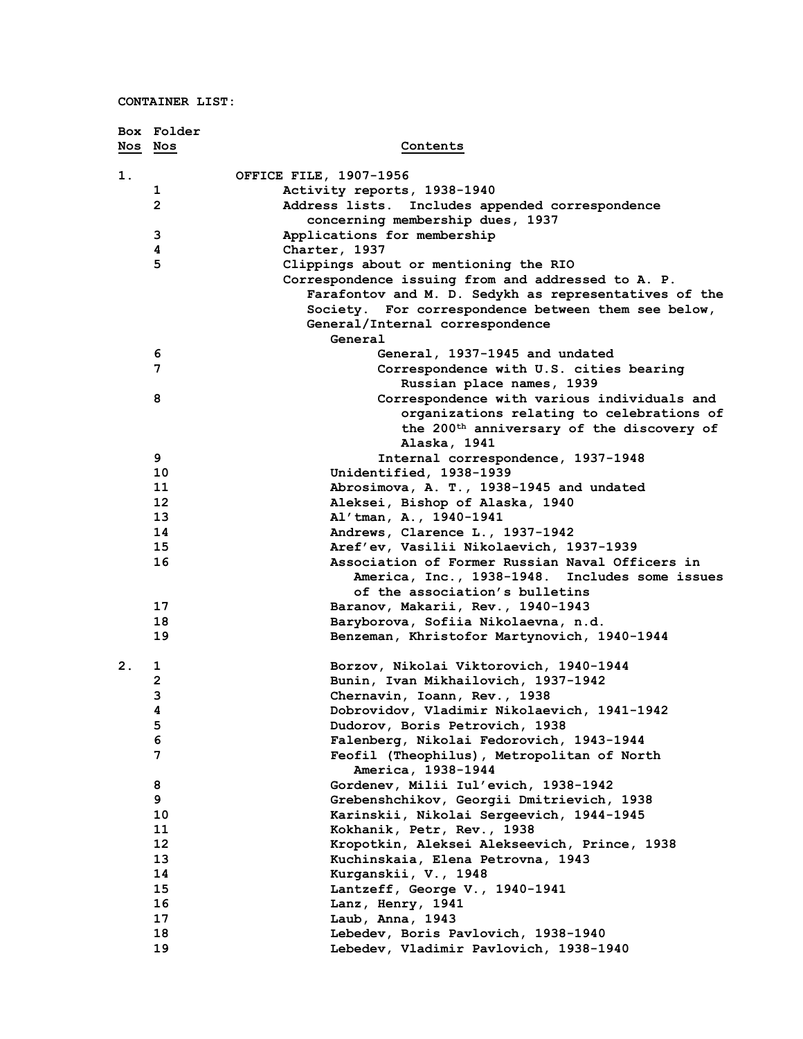|    | Box Folder     |                                                       |
|----|----------------|-------------------------------------------------------|
|    | Nos Nos        | Contents                                              |
|    |                |                                                       |
| 1. |                | OFFICE FILE, 1907-1956                                |
|    | 1              | Activity reports, 1938-1940                           |
|    | $\overline{2}$ | Address lists.<br>Includes appended correspondence    |
|    |                | concerning membership dues, 1937                      |
|    | 3              | Applications for membership                           |
|    | 4              | Charter, 1937                                         |
|    | 5              | Clippings about or mentioning the RIO                 |
|    |                | Correspondence issuing from and addressed to A. P.    |
|    |                | Farafontov and M. D. Sedykh as representatives of the |
|    |                | Society. For correspondence between them see below,   |
|    |                | General/Internal correspondence                       |
|    |                | General                                               |
|    | 6              | General, 1937-1945 and undated                        |
|    | 7              | Correspondence with U.S. cities bearing               |
|    |                | Russian place names, 1939                             |
|    | 8              | Correspondence with various individuals and           |
|    |                | organizations relating to celebrations of             |
|    |                | the 200 <sup>th</sup> anniversary of the discovery of |
|    |                | Alaska, 1941                                          |
|    | 9              | Internal correspondence, 1937-1948                    |
|    | 10             | Unidentified, 1938-1939                               |
|    | 11             | Abrosimova, A. T., 1938-1945 and undated              |
|    | 12             | Aleksei, Bishop of Alaska, 1940                       |
|    | 13             | Al'tman, A., 1940-1941                                |
|    | 14             | Andrews, Clarence L., 1937-1942                       |
|    | 15             | Aref'ev, Vasilii Nikolaevich, 1937-1939               |
|    | 16             | Association of Former Russian Naval Officers in       |
|    |                | America, Inc., 1938-1948.<br>Includes some issues     |
|    |                | of the association's bulletins                        |
|    | 17             | Baranov, Makarii, Rev., 1940-1943                     |
|    | 18             | Baryborova, Sofiia Nikolaevna, n.d.                   |
|    | 19             | Benzeman, Khristofor Martynovich, 1940-1944           |
|    |                |                                                       |
| 2. | 1              | Borzov, Nikolai Viktorovich, 1940-1944                |
|    | $\mathbf{2}$   | Bunin, Ivan Mikhailovich, 1937-1942                   |
|    | 3              | Chernavin, Ioann, Rev., 1938                          |
|    | 4              | Dobrovidov, Vladimir Nikolaevich, 1941-1942           |
|    | 5              | Dudorov, Boris Petrovich, 1938                        |
|    | 6              | Falenberg, Nikolai Fedorovich, 1943-1944              |
|    | 7              | Feofil (Theophilus), Metropolitan of North            |
|    |                | America, 1938-1944                                    |
|    | 8              | Gordenev, Milii Iul'evich, 1938-1942                  |
|    | 9              | Grebenshchikov, Georgii Dmitrievich, 1938             |
|    | 10             | Karinskii, Nikolai Sergeevich, 1944-1945              |
|    | 11             | Kokhanik, Petr, Rev., 1938                            |
|    | $12 \,$        | Kropotkin, Aleksei Alekseevich, Prince, 1938          |
|    | 13             | Kuchinskaia, Elena Petrovna, 1943                     |
|    | 14             | Kurganskii, V., 1948                                  |
|    | 15             | Lantzeff, George V., 1940-1941                        |
|    | 16             | Lanz, Henry, 1941                                     |
|    | 17             | Laub, Anna, 1943                                      |
|    | 18             | Lebedev, Boris Pavlovich, 1938-1940                   |
|    | 19             | Lebedev, Vladimir Pavlovich, 1938-1940                |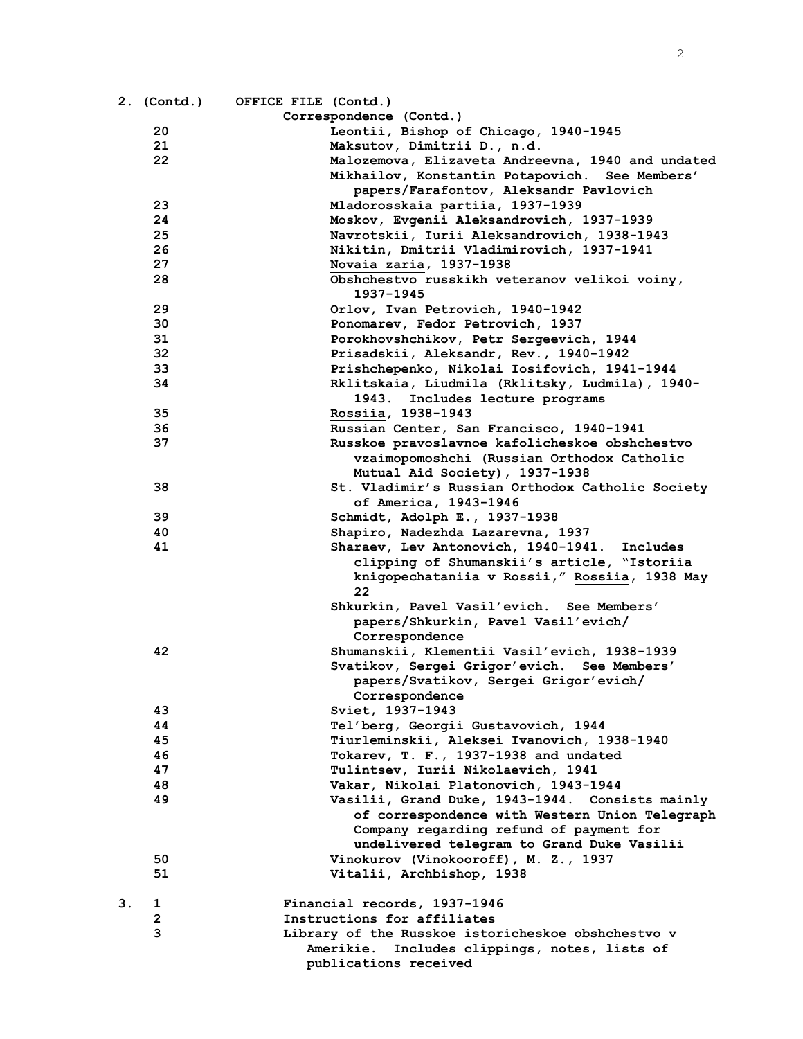|    |                   | 2. (Contd.) OFFICE FILE (Contd.)                                                                       |
|----|-------------------|--------------------------------------------------------------------------------------------------------|
|    |                   | Correspondence (Contd.)                                                                                |
|    | 20                | Leontii, Bishop of Chicago, 1940-1945                                                                  |
|    | 21                | Maksutov, Dimitrii D., n.d.                                                                            |
|    | 22                | Malozemova, Elizaveta Andreevna, 1940 and undated                                                      |
|    |                   | Mikhailov, Konstantin Potapovich. See Members'                                                         |
|    |                   | papers/Farafontov, Aleksandr Pavlovich                                                                 |
|    | 23                | Mladorosskaia partiia, 1937-1939                                                                       |
|    | 24                | Moskov, Evgenii Aleksandrovich, 1937-1939                                                              |
|    | 25                | Navrotskii, Iurii Aleksandrovich, 1938-1943                                                            |
|    | 26                | Nikitin, Dmitrii Vladimirovich, 1937-1941                                                              |
|    | 27                | Novaia zaria, 1937-1938                                                                                |
|    | 28                | Obshchestvo russkikh veteranov velikoi voiny,<br>1937–1945                                             |
|    | 29                | Orlov, Ivan Petrovich, 1940-1942                                                                       |
|    | 30                | Ponomarev, Fedor Petrovich, 1937                                                                       |
|    | 31                | Porokhovshchikov, Petr Sergeevich, 1944                                                                |
|    | 32                | Prisadskii, Aleksandr, Rev., 1940-1942                                                                 |
|    | 33                | Prishchepenko, Nikolai Iosifovich, 1941-1944                                                           |
|    | 34                | Rklitskaia, Liudmila (Rklitsky, Ludmila), 1940-                                                        |
|    |                   | 1943.<br>Includes lecture programs                                                                     |
|    | 35                | Rossiia, 1938-1943                                                                                     |
|    | 36                | Russian Center, San Francisco, 1940-1941                                                               |
|    | 37                | Russkoe pravoslavnoe kafolicheskoe obshchestvo                                                         |
|    |                   | vzaimopomoshchi (Russian Orthodox Catholic                                                             |
|    |                   | Mutual Aid Society), 1937-1938                                                                         |
|    | 38                | St. Vladimir's Russian Orthodox Catholic Society                                                       |
|    |                   | of America, 1943-1946                                                                                  |
|    | 39                | Schmidt, Adolph E., 1937-1938                                                                          |
|    | 40                | Shapiro, Nadezhda Lazarevna, 1937                                                                      |
|    | 41                | Sharaev, Lev Antonovich, 1940-1941. Includes                                                           |
|    |                   | clipping of Shumanskii's article, "Istoriia                                                            |
|    |                   | knigopechataniia v Rossii, "Rossiia, 1938 May                                                          |
|    |                   | 22                                                                                                     |
|    |                   | Shkurkin, Pavel Vasil'evich. See Members'                                                              |
|    |                   | papers/Shkurkin, Pavel Vasil'evich/                                                                    |
|    | 42                | Correspondence<br>Shumanskii, Klementii Vasil'evich, 1938-1939                                         |
|    |                   | Svatikov, Sergei Grigor'evich. See Members'                                                            |
|    |                   | papers/Svatikov, Sergei Grigor'evich/                                                                  |
|    |                   | Correspondence                                                                                         |
|    | 43                | Sviet, 1937-1943                                                                                       |
|    | 44                | Tel'berg, Georgii Gustavovich, 1944                                                                    |
|    | 45                | Tiurleminskii, Aleksei Ivanovich, 1938-1940                                                            |
|    | 46                | Tokarev, T. F., 1937-1938 and undated                                                                  |
|    | 47                | Tulintsev, Iurii Nikolaevich, 1941                                                                     |
|    | 48                | Vakar, Nikolai Platonovich, 1943-1944                                                                  |
|    | 49                | Vasilii, Grand Duke, 1943-1944. Consists mainly                                                        |
|    |                   | of correspondence with Western Union Telegraph                                                         |
|    |                   | Company regarding refund of payment for                                                                |
|    |                   | undelivered telegram to Grand Duke Vasilii                                                             |
|    | 50                | Vinokurov (Vinokooroff), M. Z., 1937                                                                   |
|    | 51                | Vitalii, Archbishop, 1938                                                                              |
|    |                   |                                                                                                        |
| 3. | 1                 | Financial records, 1937-1946                                                                           |
|    | $\mathbf{2}$<br>3 | Instructions for affiliates                                                                            |
|    |                   | Library of the Russkoe istoricheskoe obshchestvo v<br>Includes clippings, notes, lists of<br>Amerikie. |
|    |                   |                                                                                                        |

**publications received**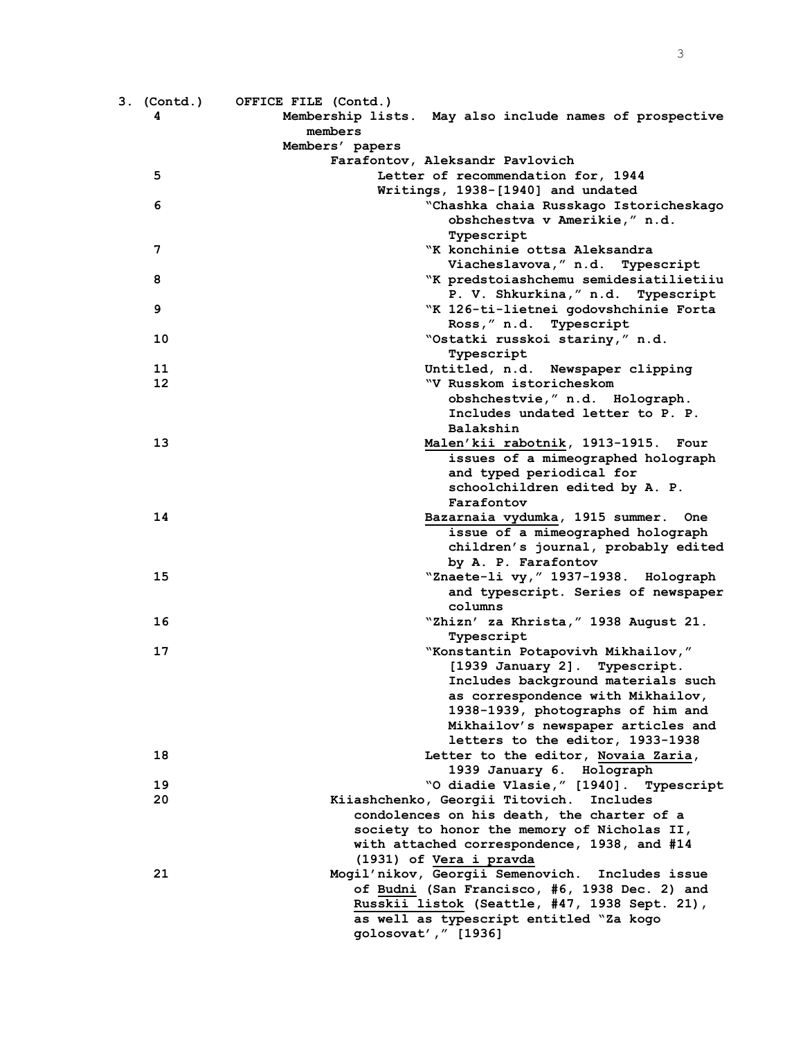| 3. (Contd.) | OFFICE FILE (Contd.)                                                                      |
|-------------|-------------------------------------------------------------------------------------------|
| 4           | Membership lists. May also include names of prospective                                   |
|             | members                                                                                   |
|             | Members' papers                                                                           |
|             | Farafontov, Aleksandr Pavlovich                                                           |
| 5           | Letter of recommendation for, 1944                                                        |
|             | Writings, 1938-[1940] and undated                                                         |
| 6           | "Chashka chaia Russkago Istoricheskago                                                    |
|             | obshchestva v Amerikie," n.d.                                                             |
|             | Typescript                                                                                |
| 7           | "K konchinie ottsa Aleksandra                                                             |
|             | Viacheslavova, " n.d. Typescript                                                          |
| 8           | "K predstoiashchemu semidesiatilietiiu                                                    |
|             | P. V. Shkurkina, " n.d. Typescript                                                        |
| 9           | "K 126-ti-lietnei godovshchinie Forta                                                     |
|             | Ross," n.d. Typescript                                                                    |
| 10          | "Ostatki russkoi stariny," n.d.                                                           |
|             | Typescript                                                                                |
| 11          | Untitled, n.d. Newspaper clipping                                                         |
| 12          | "V Russkom istoricheskom                                                                  |
|             | obshchestvie," n.d. Holograph.                                                            |
|             | Includes undated letter to P. P.                                                          |
|             | Balakshin                                                                                 |
| 13          | Malen'kii rabotnik, 1913-1915. Four                                                       |
|             | issues of a mimeographed holograph                                                        |
|             | and typed periodical for                                                                  |
|             | schoolchildren edited by A. P.                                                            |
|             | Farafontov                                                                                |
| 14          | Bazarnaia vydumka, 1915 summer. One                                                       |
|             | issue of a mimeographed holograph                                                         |
|             | children's journal, probably edited                                                       |
|             | by A. P. Farafontov                                                                       |
| 15          | "Znaete-li vy, "1937-1938. Holograph                                                      |
|             | and typescript. Series of newspaper                                                       |
|             | columns                                                                                   |
| 16          | "Zhizn' za Khrista, " 1938 August 21.                                                     |
|             | Typescript                                                                                |
| 17          | "Konstantin Potapovivh Mikhailov,"                                                        |
|             | [1939 January 2]. Typescript.                                                             |
|             | Includes background materials such                                                        |
|             | as correspondence with Mikhailov,                                                         |
|             | 1938-1939, photographs of him and                                                         |
|             | Mikhailov's newspaper articles and                                                        |
|             | letters to the editor, 1933-1938                                                          |
| 18          | Letter to the editor, Novaia Zaria,                                                       |
|             | 1939 January 6. Holograph                                                                 |
| 19<br>20    | "O diadie Vlasie," [1940]. Typescript                                                     |
|             | Kiiashchenko, Georgii Titovich.<br>Includes<br>condolences on his death, the charter of a |
|             | society to honor the memory of Nicholas II,                                               |
|             | with attached correspondence, 1938, and #14                                               |
|             | (1931) of Vera i pravda                                                                   |
| 21          | Mogil'nikov, Georgii Semenovich. Includes issue                                           |
|             | of Budni (San Francisco, #6, 1938 Dec. 2) and                                             |
|             | Russkii listok (Seattle, #47, 1938 Sept. 21),                                             |
|             | as well as typescript entitled "Za kogo                                                   |
|             | golosovat'," [1936]                                                                       |
|             |                                                                                           |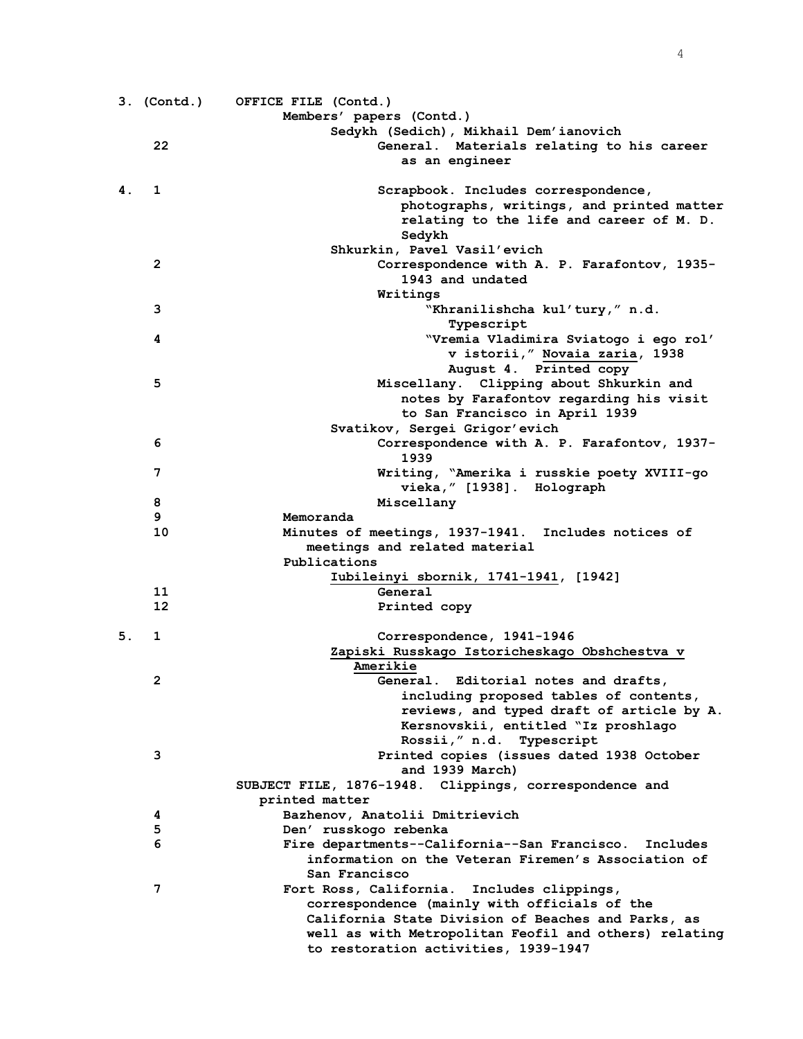|    | 3. (Contd.)  | OFFICE FILE (Contd.)                                                     |
|----|--------------|--------------------------------------------------------------------------|
|    |              | Members' papers (Contd.)                                                 |
|    |              | Sedykh (Sedich), Mikhail Dem'ianovich                                    |
|    | 22           | General. Materials relating to his career                                |
|    |              | as an engineer                                                           |
| 4. | 1            | Scrapbook. Includes correspondence,                                      |
|    |              | photographs, writings, and printed matter                                |
|    |              | relating to the life and career of M. D.<br>Sedykh                       |
|    |              | Shkurkin, Pavel Vasil'evich                                              |
|    | $\mathbf{2}$ | Correspondence with A. P. Farafontov, 1935-                              |
|    |              | 1943 and undated                                                         |
|    |              | Writings                                                                 |
|    | 3            | "Khranilishcha kul'tury," n.d.                                           |
|    |              | Typescript                                                               |
|    | 4            | "Vremia Vladimira Sviatogo i ego rol'                                    |
|    |              | v istorii," Novaia zaria, 1938                                           |
|    |              | August 4. Printed copy                                                   |
|    | 5            | Miscellany. Clipping about Shkurkin and                                  |
|    |              | notes by Farafontov regarding his visit                                  |
|    |              | to San Francisco in April 1939                                           |
|    |              | Svatikov, Sergei Grigor'evich                                            |
|    | 6            | Correspondence with A. P. Farafontov, 1937-                              |
|    | 7            | 1939                                                                     |
|    |              | Writing, "Amerika i russkie poety XVIII-go<br>vieka, " [1938]. Holograph |
|    | 8            | Miscellany                                                               |
|    | 9            | Memoranda                                                                |
|    | 10           | Minutes of meetings, 1937-1941. Includes notices of                      |
|    |              | meetings and related material                                            |
|    |              | Publications                                                             |
|    |              | Iubileinyi sbornik, 1741-1941, [1942]                                    |
|    | 11           | General                                                                  |
|    | 12           | Printed copy                                                             |
| 5. | 1            | Correspondence, 1941-1946                                                |
|    |              | Zapiski Russkago Istoricheskago Obshchestva v                            |
|    |              | Amerikie                                                                 |
|    | 2            | General. Editorial notes and drafts,                                     |
|    |              | including proposed tables of contents,                                   |
|    |              | reviews, and typed draft of article by A.                                |
|    |              | Kersnovskii, entitled "Iz proshlago                                      |
|    |              | Rossii," n.d. Typescript                                                 |
|    | 3            | Printed copies (issues dated 1938 October<br>and 1939 March)             |
|    |              | SUBJECT FILE, 1876-1948. Clippings, correspondence and                   |
|    |              | printed matter                                                           |
|    | 4            | Bazhenov, Anatolii Dmitrievich                                           |
|    | 5            | Den' russkogo rebenka                                                    |
|    | 6            | Fire departments--California--San Francisco. Includes                    |
|    |              | information on the Veteran Firemen's Association of                      |
|    |              | San Francisco                                                            |
|    | 7            | Fort Ross, California. Includes clippings,                               |
|    |              | correspondence (mainly with officials of the                             |
|    |              | California State Division of Beaches and Parks, as                       |
|    |              | well as with Metropolitan Feofil and others) relating                    |
|    |              | to restoration activities, 1939-1947                                     |